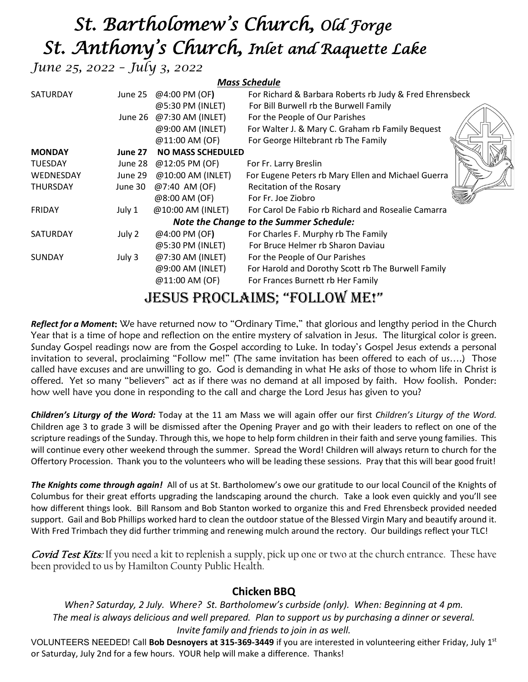# *St. Bartholomew's Church, Old Forge St. Anthony's Church, Inlet and Raquette Lake*

*June 25, 2022 – July 3, 2022* 

| <b>Mass Schedule</b>                                                                                                                                                                                                                                                                                                                                          |         |                          |                                                         |  |  |  |  |
|---------------------------------------------------------------------------------------------------------------------------------------------------------------------------------------------------------------------------------------------------------------------------------------------------------------------------------------------------------------|---------|--------------------------|---------------------------------------------------------|--|--|--|--|
| SATURDAY                                                                                                                                                                                                                                                                                                                                                      |         | June 25 @4:00 PM (OF)    | For Richard & Barbara Roberts rb Judy & Fred Ehrensbeck |  |  |  |  |
|                                                                                                                                                                                                                                                                                                                                                               |         | @5:30 PM (INLET)         | For Bill Burwell rb the Burwell Family                  |  |  |  |  |
|                                                                                                                                                                                                                                                                                                                                                               |         | June 26 @7:30 AM (INLET) | For the People of Our Parishes                          |  |  |  |  |
|                                                                                                                                                                                                                                                                                                                                                               |         | @9:00 AM (INLET)         | For Walter J. & Mary C. Graham rb Family Bequest        |  |  |  |  |
|                                                                                                                                                                                                                                                                                                                                                               |         | @11:00 AM (OF)           | For George Hiltebrant rb The Family                     |  |  |  |  |
| <b>MONDAY</b>                                                                                                                                                                                                                                                                                                                                                 | June 27 | <b>NO MASS SCHEDULED</b> |                                                         |  |  |  |  |
| <b>TUESDAY</b>                                                                                                                                                                                                                                                                                                                                                | June 28 | @12:05 PM (OF)           | For Fr. Larry Breslin                                   |  |  |  |  |
| WEDNESDAY                                                                                                                                                                                                                                                                                                                                                     | June 29 | @10:00 AM (INLET)        | For Eugene Peters rb Mary Ellen and Michael Guerra      |  |  |  |  |
| <b>THURSDAY</b>                                                                                                                                                                                                                                                                                                                                               | June 30 | @7:40 AM (OF)            | Recitation of the Rosary                                |  |  |  |  |
|                                                                                                                                                                                                                                                                                                                                                               |         | @8:00 AM (OF)            | For Fr. Joe Ziobro                                      |  |  |  |  |
| <b>FRIDAY</b>                                                                                                                                                                                                                                                                                                                                                 | July 1  | @10:00 AM (INLET)        | For Carol De Fabio rb Richard and Rosealie Camarra      |  |  |  |  |
| <b>Note the Change to the Summer Schedule:</b>                                                                                                                                                                                                                                                                                                                |         |                          |                                                         |  |  |  |  |
| SATURDAY                                                                                                                                                                                                                                                                                                                                                      | July 2  | @4:00 PM (OF)            | For Charles F. Murphy rb The Family                     |  |  |  |  |
|                                                                                                                                                                                                                                                                                                                                                               |         | @5:30 PM (INLET)         | For Bruce Helmer rb Sharon Daviau                       |  |  |  |  |
| <b>SUNDAY</b>                                                                                                                                                                                                                                                                                                                                                 | July 3  | @7:30 AM (INLET)         | For the People of Our Parishes                          |  |  |  |  |
|                                                                                                                                                                                                                                                                                                                                                               |         | @9:00 AM (INLET)         | For Harold and Dorothy Scott rb The Burwell Family      |  |  |  |  |
|                                                                                                                                                                                                                                                                                                                                                               |         | @11:00 AM (OF)           | For Frances Burnett rb Her Family                       |  |  |  |  |
| E FERO HEORE ROEL EREAN<br>$\mathbf{F}$ $\mathbf{F}$ $\mathbf{F}$ $\mathbf{F}$ $\mathbf{F}$ $\mathbf{F}$ $\mathbf{F}$ $\mathbf{F}$ $\mathbf{F}$ $\mathbf{F}$ $\mathbf{F}$ $\mathbf{F}$ $\mathbf{F}$ $\mathbf{F}$ $\mathbf{F}$ $\mathbf{F}$ $\mathbf{F}$ $\mathbf{F}$ $\mathbf{F}$ $\mathbf{F}$ $\mathbf{F}$ $\mathbf{F}$ $\mathbf{F}$ $\mathbf{F}$ $\mathbf{$ |         |                          |                                                         |  |  |  |  |

# Jesus proclaims; "follow me!"

*Reflect for a Moment*: We have returned now to "Ordinary Time," that glorious and lengthy period in the Church Year that is a time of hope and reflection on the entire mystery of salvation in Jesus. The liturgical color is green. Sunday Gospel readings now are from the Gospel according to Luke. In today's Gospel Jesus extends a personal invitation to several, proclaiming "Follow me!" (The same invitation has been offered to each of us….) Those called have excuses and are unwilling to go. God is demanding in what He asks of those to whom life in Christ is offered. Yet so many "believers" act as if there was no demand at all imposed by faith. How foolish. Ponder: how well have you done in responding to the call and charge the Lord Jesus has given to you?

*Children's Liturgy of the Word:* Today at the 11 am Mass we will again offer our first *Children's Liturgy of the Word.* Children age 3 to grade 3 will be dismissed after the Opening Prayer and go with their leaders to reflect on one of the scripture readings of the Sunday. Through this, we hope to help form children in their faith and serve young families. This will continue every other weekend through the summer. Spread the Word! Children will always return to church for the Offertory Procession. Thank you to the volunteers who will be leading these sessions. Pray that this will bear good fruit!

*The Knights come through again!* All of us at St. Bartholomew's owe our gratitude to our local Council of the Knights of Columbus for their great efforts upgrading the landscaping around the church. Take a look even quickly and you'll see how different things look. Bill Ransom and Bob Stanton worked to organize this and Fred Ehrensbeck provided needed support. Gail and Bob Phillips worked hard to clean the outdoor statue of the Blessed Virgin Mary and beautify around it. With Fred Trimbach they did further trimming and renewing mulch around the rectory. Our buildings reflect your TLC!

Covid Test Kits: If you need a kit to replenish a supply, pick up one or two at the church entrance. These have been provided to us by Hamilton County Public Health.

### **Chicken BBQ**

*When? Saturday, 2 July. Where? St. Bartholomew's curbside (only). When: Beginning at 4 pm. The meal is always delicious and well prepared. Plan to support us by purchasing a dinner or several. Invite family and friends to join in as well.* 

VOLUNTEERS NEEDED! Call **Bob Desnoyers at 315-369-3449** if you are interested in volunteering either Friday, July 1st or Saturday, July 2nd for a few hours. YOUR help will make a difference. Thanks!